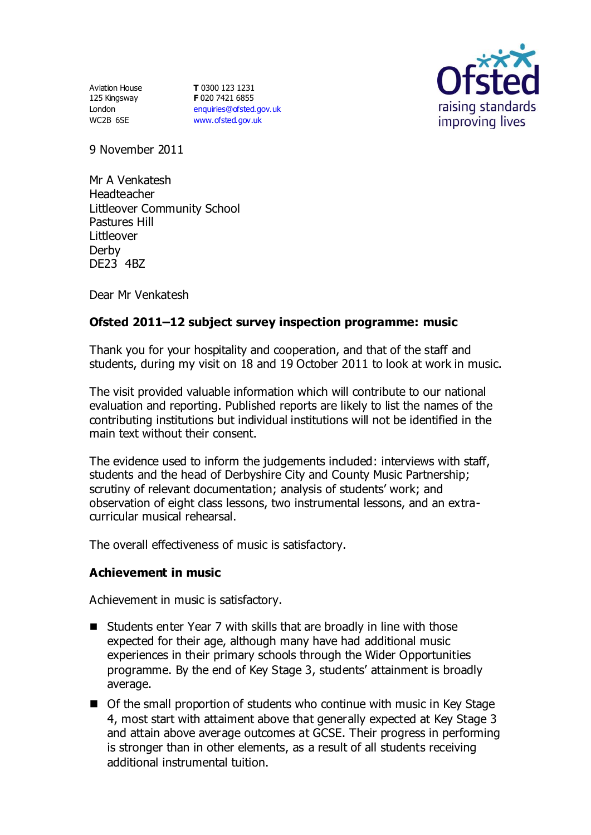Aviation House 125 Kingsway London WC2B 6SE

**T** 0300 123 1231 **F** 020 7421 6855 [enquiries@ofsted.gov.uk](mailto:enquiries@ofsted.gov.uk) [www.ofsted.gov.uk](http://www.ofsted.gov.uk/)



9 November 2011

Mr A Venkatesh Headteacher Littleover Community School Pastures Hill Littleover Derby DE23 4BZ

Dear Mr Venkatesh

# **Ofsted 2011–12 subject survey inspection programme: music**

Thank you for your hospitality and cooperation, and that of the staff and students, during my visit on 18 and 19 October 2011 to look at work in music.

The visit provided valuable information which will contribute to our national evaluation and reporting. Published reports are likely to list the names of the contributing institutions but individual institutions will not be identified in the main text without their consent.

The evidence used to inform the judgements included: interviews with staff, students and the head of Derbyshire City and County Music Partnership; scrutiny of relevant documentation; analysis of students' work; and observation of eight class lessons, two instrumental lessons, and an extracurricular musical rehearsal.

The overall effectiveness of music is satisfactory.

#### **Achievement in music**

Achievement in music is satisfactory.

- Students enter Year 7 with skills that are broadly in line with those expected for their age, although many have had additional music experiences in their primary schools through the Wider Opportunities programme. By the end of Key Stage 3, students' attainment is broadly average.
- Of the small proportion of students who continue with music in Key Stage 4, most start with attaiment above that generally expected at Key Stage 3 and attain above average outcomes at GCSE. Their progress in performing is stronger than in other elements, as a result of all students receiving additional instrumental tuition.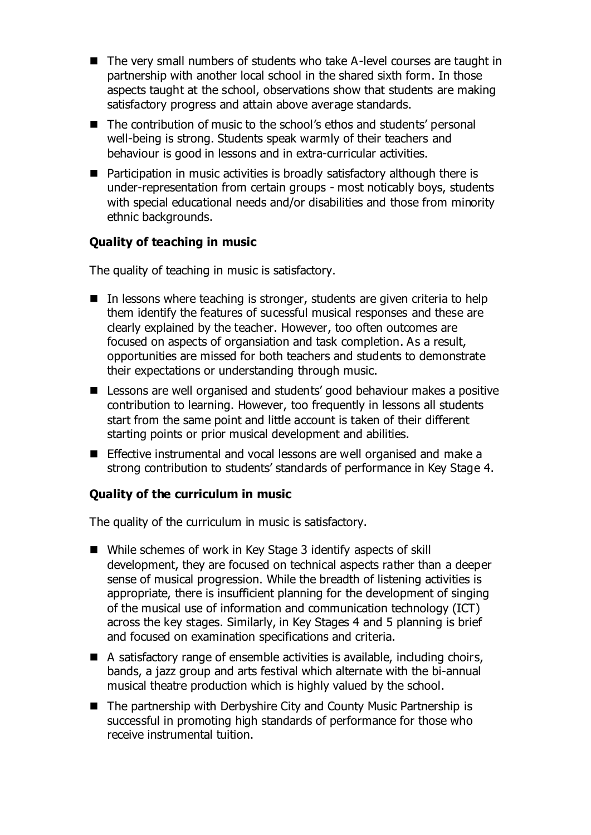- The very small numbers of students who take A-level courses are taught in partnership with another local school in the shared sixth form. In those aspects taught at the school, observations show that students are making satisfactory progress and attain above average standards.
- The contribution of music to the school's ethos and students' personal well-being is strong. Students speak warmly of their teachers and behaviour is good in lessons and in extra-curricular activities.
- Participation in music activities is broadly satisfactory although there is under-representation from certain groups - most noticably boys, students with special educational needs and/or disabilities and those from minority ethnic backgrounds.

# **Quality of teaching in music**

The quality of teaching in music is satisfactory.

- $\blacksquare$  In lessons where teaching is stronger, students are given criteria to help them identify the features of sucessful musical responses and these are clearly explained by the teacher. However, too often outcomes are focused on aspects of organsiation and task completion. As a result, opportunities are missed for both teachers and students to demonstrate their expectations or understanding through music.
- Lessons are well organised and students' good behaviour makes a positive contribution to learning. However, too frequently in lessons all students start from the same point and little account is taken of their different starting points or prior musical development and abilities.
- **Effective instrumental and vocal lessons are well organised and make a** strong contribution to students' standards of performance in Key Stage 4.

# **Quality of the curriculum in music**

The quality of the curriculum in music is satisfactory.

- While schemes of work in Key Stage 3 identify aspects of skill development, they are focused on technical aspects rather than a deeper sense of musical progression. While the breadth of listening activities is appropriate, there is insufficient planning for the development of singing of the musical use of information and communication technology (ICT) across the key stages. Similarly, in Key Stages 4 and 5 planning is brief and focused on examination specifications and criteria.
- A satisfactory range of ensemble activities is available, including choirs, bands, a jazz group and arts festival which alternate with the bi-annual musical theatre production which is highly valued by the school.
- The partnership with Derbyshire City and County Music Partnership is successful in promoting high standards of performance for those who receive instrumental tuition.